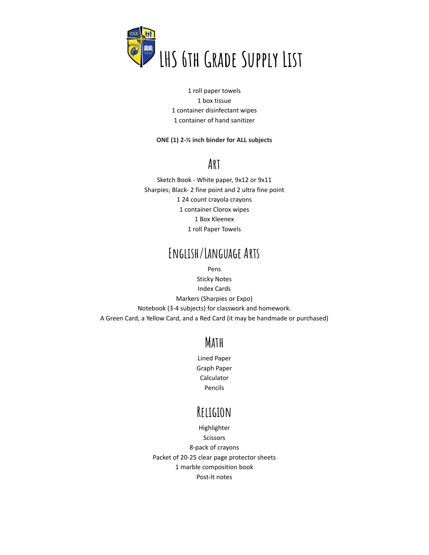

 roll paper towels box tissue container disinfectant wipes container of hand sanitizer

#### **ONE (1) 2-½ inch binder for ALL subjects**

#### **Art**

Sketch Book - White paper, 9x12 or 9x11 Sharpies; Black- 2 fine point and 2 ultra fine point 24 count crayola crayons container Clorox wipes Box Kleenex roll Paper Towels

### **English/Language Arts**

Pens

Sticky Notes Index Cards Markers (Sharpies or Expo) Notebook (3-4 subjects) for classwork and homework. A Green Card, a Yellow Card, and a Red Card (it may be handmade or purchased)

#### **Math**

Lined Paper Graph Paper Calculator Pencils

#### **Religion**

Highlighter Scissors 8-pack of crayons Packet of 20-25 clear page protector sheets 1 marble composition book Post-It notes